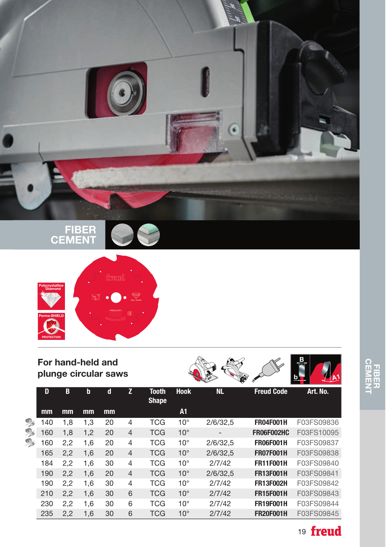



## For hand-held and plunge circular saws







|          | D   | B   | $\mathbf b$ | d  | Z              | <b>Tooth</b><br><b>Shape</b> | <b>Hook</b>  | <b>NL</b>       | <b>Freud Code</b> | Art. No.   |
|----------|-----|-----|-------------|----|----------------|------------------------------|--------------|-----------------|-------------------|------------|
|          | mm  | mm  | mm          | mm |                |                              | A1           |                 |                   |            |
| <b>B</b> | 40  | 1,8 | 1.3         | 20 | 4              | TCG                          | $10^{\circ}$ | 2/6/32,5        | <b>FR04F001H</b>  | F03FS09836 |
| <b>B</b> | 160 | 1,8 | 1,2         | 20 | $\overline{4}$ | <b>TCG</b>                   | $10^{\circ}$ | $\qquad \qquad$ | <b>FR06F002HC</b> | F03FS10095 |
| g,       | 60  | 2,2 | 1,6         | 20 | $\overline{4}$ | <b>TCG</b>                   | $10^{\circ}$ | 2/6/32.5        | <b>FR06F001H</b>  | F03FS09837 |
|          | 165 | 2,2 | 1,6         | 20 | $\overline{4}$ | <b>TCG</b>                   | $10^{\circ}$ | 2/6/32.5        | <b>FR07F001H</b>  | F03FS09838 |
|          | 184 | 2,2 | 1,6         | 30 | $\overline{4}$ | TCG                          | $10^{\circ}$ | 2/7/42          | <b>FR11F001H</b>  | F03FS09840 |
|          | 190 | 2,2 | 1,6         | 20 | $\overline{4}$ | <b>TCG</b>                   | $10^{\circ}$ | 2/6/32.5        | <b>FR13F001H</b>  | F03FS09841 |
|          | 190 | 2,2 | 1,6         | 30 | $\overline{4}$ | TCG                          | $10^{\circ}$ | 2/7/42          | <b>FR13F002H</b>  | F03FS09842 |
|          | 210 | 2,2 | 1,6         | 30 | 6              | <b>TCG</b>                   | $10^{\circ}$ | 2/7/42          | <b>FR15F001H</b>  | F03FS09843 |
|          | 230 | 2,2 | 1,6         | 30 | 6              | TCG                          | $10^{\circ}$ | 2/7/42          | <b>FR19F001H</b>  | F03FS09844 |
|          | 235 | 2,2 | 1,6         | 30 | 6              | <b>TCG</b>                   | $10^{\circ}$ | 2/7/42          | <b>FR20F001H</b>  | F03FS09845 |